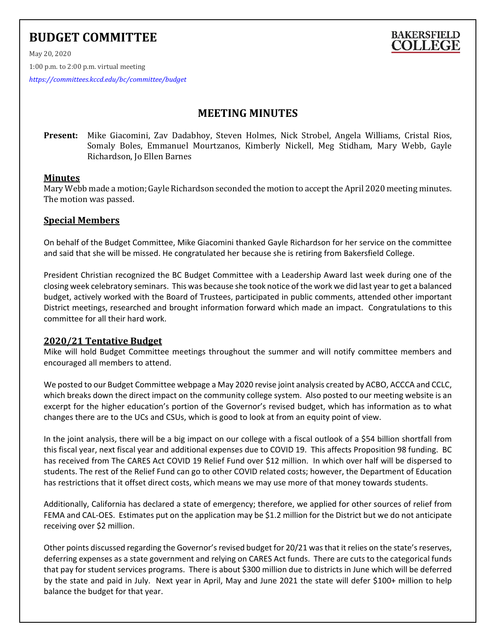# **BUDGET COMMITTEE**



May 20, 2020

1:00 p.m. to 2:00 p.m. virtual meeting

*<https://committees.kccd.edu/bc/committee/budget>*

## **MEETING MINUTES**

**Present:** Mike Giacomini, Zav Dadabhoy, Steven Holmes, Nick Strobel, Angela Williams, Cristal Rios, Somaly Boles, Emmanuel Mourtzanos, Kimberly Nickell, Meg Stidham, Mary Webb, Gayle Richardson, Jo Ellen Barnes

## **Minutes**

Mary Webb made a motion; Gayle Richardson seconded the motion to accept the April 2020 meeting minutes. The motion was passed.

## **Special Members**

On behalf of the Budget Committee, Mike Giacomini thanked Gayle Richardson for her service on the committee and said that she will be missed. He congratulated her because she is retiring from Bakersfield College.

President Christian recognized the BC Budget Committee with a Leadership Award last week during one of the closing week celebratory seminars. This was because she took notice of the work we did last year to get a balanced budget, actively worked with the Board of Trustees, participated in public comments, attended other important District meetings, researched and brought information forward which made an impact. Congratulations to this committee for all their hard work.

## **2020/21 Tentative Budget**

Mike will hold Budget Committee meetings throughout the summer and will notify committee members and encouraged all members to attend.

We posted to our Budget Committee webpage a May 2020 revise joint analysis created by ACBO, ACCCA and CCLC, which breaks down the direct impact on the community college system. Also posted to our meeting website is an excerpt for the higher education's portion of the Governor's revised budget, which has information as to what changes there are to the UCs and CSUs, which is good to look at from an equity point of view.

In the joint analysis, there will be a big impact on our college with a fiscal outlook of a \$54 billion shortfall from this fiscal year, next fiscal year and additional expenses due to COVID 19. This affects Proposition 98 funding. BC has received from The CARES Act COVID 19 Relief Fund over \$12 million. In which over half will be dispersed to students. The rest of the Relief Fund can go to other COVID related costs; however, the Department of Education has restrictions that it offset direct costs, which means we may use more of that money towards students.

Additionally, California has declared a state of emergency; therefore, we applied for other sources of relief from FEMA and CAL-OES. Estimates put on the application may be \$1.2 million for the District but we do not anticipate receiving over \$2 million.

Other points discussed regarding the Governor's revised budget for 20/21 was that it relies on the state's reserves, deferring expenses as a state government and relying on CARES Act funds. There are cuts to the categorical funds that pay for student services programs. There is about \$300 million due to districts in June which will be deferred by the state and paid in July. Next year in April, May and June 2021 the state will defer \$100+ million to help balance the budget for that year.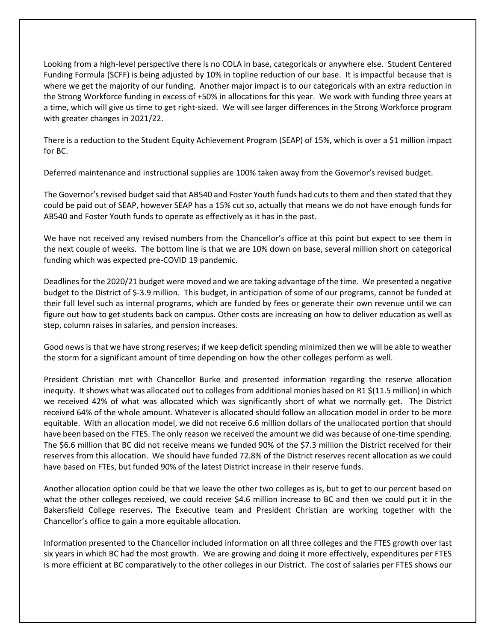Looking from a high-level perspective there is no COLA in base, categoricals or anywhere else. Student Centered Funding Formula (SCFF) is being adjusted by 10% in topline reduction of our base. It is impactful because that is where we get the majority of our funding. Another major impact is to our categoricals with an extra reduction in the Strong Workforce funding in excess of +50% in allocations for this year. We work with funding three years at a time, which will give us time to get right-sized. We will see larger differences in the Strong Workforce program with greater changes in 2021/22.

There is a reduction to the Student Equity Achievement Program (SEAP) of 15%, which is over a \$1 million impact for BC.

Deferred maintenance and instructional supplies are 100% taken away from the Governor's revised budget.

The Governor's revised budget said that AB540 and Foster Youth funds had cuts to them and then stated that they could be paid out of SEAP, however SEAP has a 15% cut so, actually that means we do not have enough funds for AB540 and Foster Youth funds to operate as effectively as it has in the past.

We have not received any revised numbers from the Chancellor's office at this point but expect to see them in the next couple of weeks. The bottom line is that we are 10% down on base, several million short on categorical funding which was expected pre-COVID 19 pandemic.

Deadlines for the 2020/21 budget were moved and we are taking advantage of the time. We presented a negative budget to the District of \$-3.9 million. This budget, in anticipation of some of our programs, cannot be funded at their full level such as internal programs, which are funded by fees or generate their own revenue until we can figure out how to get students back on campus. Other costs are increasing on how to deliver education as well as step, column raises in salaries, and pension increases.

Good news is that we have strong reserves; if we keep deficit spending minimized then we will be able to weather the storm for a significant amount of time depending on how the other colleges perform as well.

President Christian met with Chancellor Burke and presented information regarding the reserve allocation inequity. It shows what was allocated out to colleges from additional monies based on R1 \$(11.5 million) in which we received 42% of what was allocated which was significantly short of what we normally get. The District received 64% of the whole amount. Whatever is allocated should follow an allocation model in order to be more equitable. With an allocation model, we did not receive 6.6 million dollars of the unallocated portion that should have been based on the FTES. The only reason we received the amount we did was because of one-time spending. The \$6.6 million that BC did not receive means we funded 90% of the \$7.3 million the District received for their reserves from this allocation. We should have funded 72.8% of the District reserves recent allocation as we could have based on FTEs, but funded 90% of the latest District increase in their reserve funds.

Another allocation option could be that we leave the other two colleges as is, but to get to our percent based on what the other colleges received, we could receive \$4.6 million increase to BC and then we could put it in the Bakersfield College reserves. The Executive team and President Christian are working together with the Chancellor's office to gain a more equitable allocation.

Information presented to the Chancellor included information on all three colleges and the FTES growth over last six years in which BC had the most growth. We are growing and doing it more effectively, expenditures per FTES is more efficient at BC comparatively to the other colleges in our District. The cost of salaries per FTES shows our